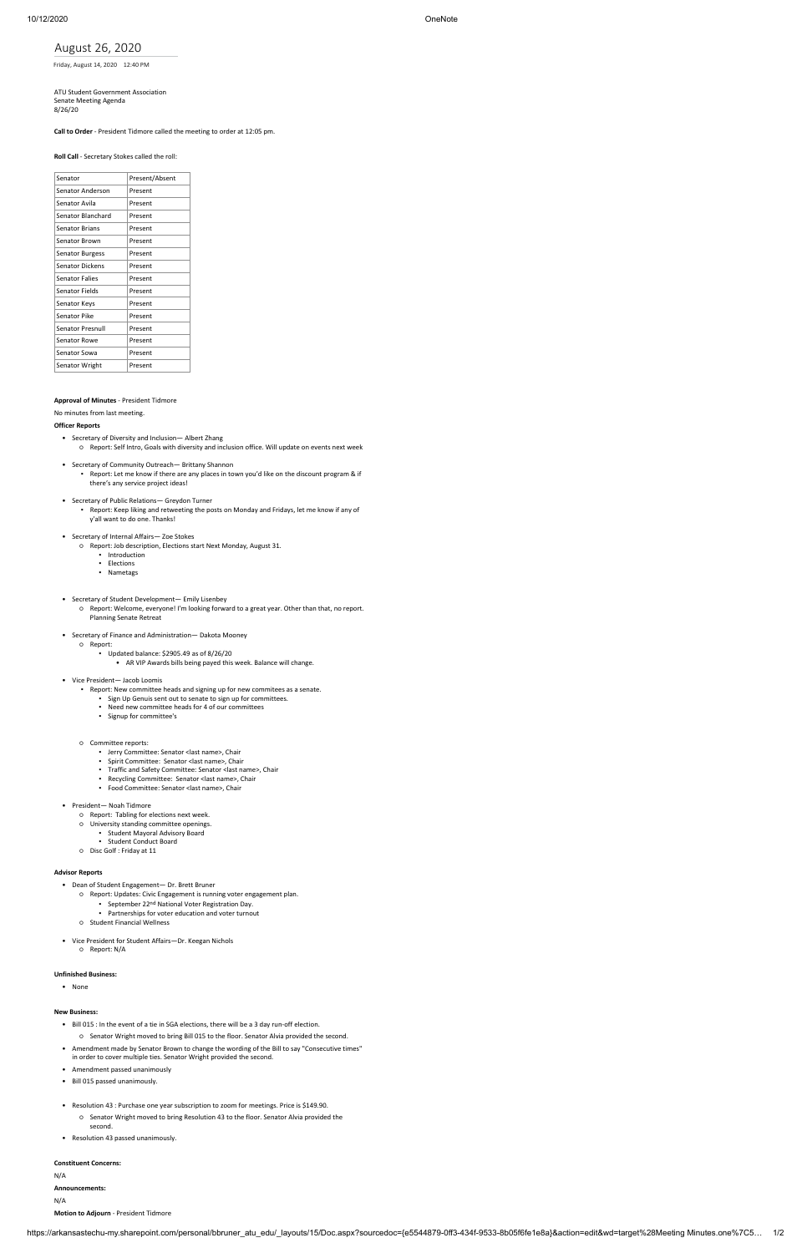https://arkansastechu-my.sharepoint.com/personal/bbruner\_atu\_edu/\_layouts/15/Doc.aspx?sourcedoc={e5544879-0ff3-434f-9533-8b05f6fe1e8a}&action=edit&wd=target%28Meeting Minutes.one%7C5… 1/2

August 26, 2020

Friday, August 14, 2020 12:40 PM

ATU Student Government Association Senate Meeting Agenda 8/26/20

# **Call to Order** - President Tidmore called the meeting to order at 12:05 pm.

**Roll Call** - Secretary Stokes called the roll:

| Senator                 | Present/Absent |
|-------------------------|----------------|
| Senator Anderson        | Present        |
| Senator Avila           | Present        |
| Senator Blanchard       | Present        |
| <b>Senator Brians</b>   | Present        |
| <b>Senator Brown</b>    | Present        |
| <b>Senator Burgess</b>  | Present        |
| <b>Senator Dickens</b>  | Present        |
| <b>Senator Falies</b>   | Present        |
| <b>Senator Fields</b>   | Present        |
| Senator Keys            | Present        |
| Senator Pike            | Present        |
| <b>Senator Presnull</b> | Present        |
| Senator Rowe            | Present        |
| Senator Sowa            | Present        |
| Senator Wright          | Present        |
|                         |                |

### **Approval of Minutes** - President Tidmore

No minutes from last meeting.

### **Officer Reports**

- Secretary of Diversity and Inclusion— Albert Zhang ○ Report: Self Intro, Goals with diversity and inclusion office. Will update on events next week
- Secretary of Community Outreach— Brittany Shannon
	- Report: Let me know if there are any places in town you'd like on the discount program & if there's any service project ideas!
- Secretary of Public Relations— Greydon Turner
	- **EXECUTE 2022 PROPERTIES IN AN INTERFERTATION Property** Report: Keep liking and retweeting the posts on Monday and Fridays, let me know if any of y'all want to do one. Thanks!
- Secretary of Internal Affairs— Zoe Stokes
	- Report: Job description, Elections start Next Monday, August 31.
		- Introduction
		- Elections
		- Nametags
- Secretary of Student Development— Emily Lisenbey
	- Report: Welcome, everyone! I'm looking forward to a great year. Other than that, no report. Planning Senate Retreat
- Secretary of Finance and Administration— Dakota Mooney
	- Report:
		- Updated balance: \$2905.49 as of 8/26/20
			- AR VIP Awards bills being payed this week. Balance will change.
- Vice President— Jacob Loomis
	- Report: New committee heads and signing up for new commitees as a senate.
		- Sign Up Genuis sent out to senate to sign up for committees.
		- Need new committee heads for 4 of our committees
		- Signup for committee's
	- Committee reports:
		- Jerry Committee: Senator <last name>, Chair
		- Spirit Committee: Senator <last name>, Chair
		- Traffic and Safety Committee: Senator <last name>, Chair
		- Recycling Committee: Senator <last name>, Chair
		- Food Committee: Senator <last name>, Chair
- President— Noah Tidmore
	- Report: Tabling for elections next week.
	- University standing committee openings.
		- Student Mayoral Advisory Board
	- Student Conduct Board
	- Disc Golf : Friday at 11

#### **Advisor Reports**

- Dean of Student Engagement— Dr. Brett Bruner
	- Report: Updates: Civic Engagement is running voter engagement plan.
		- **September 22nd National Voter Registration Day.** 
			-
		- Partnerships for voter education and voter turnout

- Student Financial Wellness
- Vice President for Student Affairs—Dr. Keegan Nichols
	- Report: N/A

#### **Unfinished Business:**

• None

### **New Business:**

- Bill 015 : In the event of a tie in SGA elections, there will be a 3 day run-off election.
	- Senator Wright moved to bring Bill 015 to the floor. Senator Alvia provided the second.
- Amendment made by Senator Brown to change the wording of the Bill to say "Consecutive times" in order to cover multiple ties. Senator Wright provided the second.
- Amendment passed unanimously
- Bill 015 passed unanimously.
- Resolution 43 : Purchase one year subscription to zoom for meetings. Price is \$149.90.
	- Senator Wright moved to bring Resolution 43 to the floor. Senator Alvia provided the second.
- Resolution 43 passed unanimously.

## **Constituent Concerns:**

N/A

#### **Announcements:**

N/A

**Motion to Adjourn** - President Tidmore